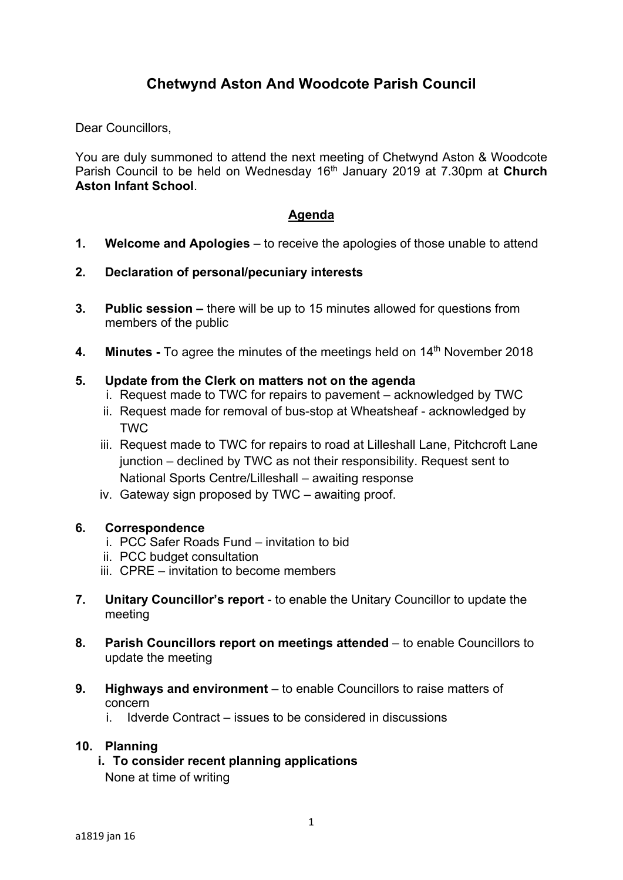# **Chetwynd Aston And Woodcote Parish Council**

Dear Councillors.

You are duly summoned to attend the next meeting of Chetwynd Aston & Woodcote Parish Council to be held on Wednesday 16th January 2019 at 7.30pm at **Church Aston Infant School**.

## **Agenda**

- **1. Welcome and Apologies** to receive the apologies of those unable to attend
- **2. Declaration of personal/pecuniary interests**
- **3. Public session** there will be up to 15 minutes allowed for questions from members of the public
- **4. Minutes -** To agree the minutes of the meetings held on 14th November 2018

### **5. Update from the Clerk on matters not on the agenda**

- i. Request made to TWC for repairs to pavement acknowledged by TWC
- ii. Request made for removal of bus-stop at Wheatsheaf acknowledged by **TWC**
- iii. Request made to TWC for repairs to road at Lilleshall Lane, Pitchcroft Lane junction – declined by TWC as not their responsibility. Request sent to National Sports Centre/Lilleshall – awaiting response
- iv. Gateway sign proposed by TWC awaiting proof.

### **6. Correspondence**

- i. PCC Safer Roads Fund invitation to bid
- ii. PCC budget consultation
- iii. CPRE invitation to become members
- **7. Unitary Councillor's report** to enable the Unitary Councillor to update the meeting
- **8. Parish Councillors report on meetings attended** to enable Councillors to update the meeting
- **9. Highways and environment** to enable Councillors to raise matters of concern
	- i. Idverde Contract issues to be considered in discussions

### **10. Planning**

**i. To consider recent planning applications**  None at time of writing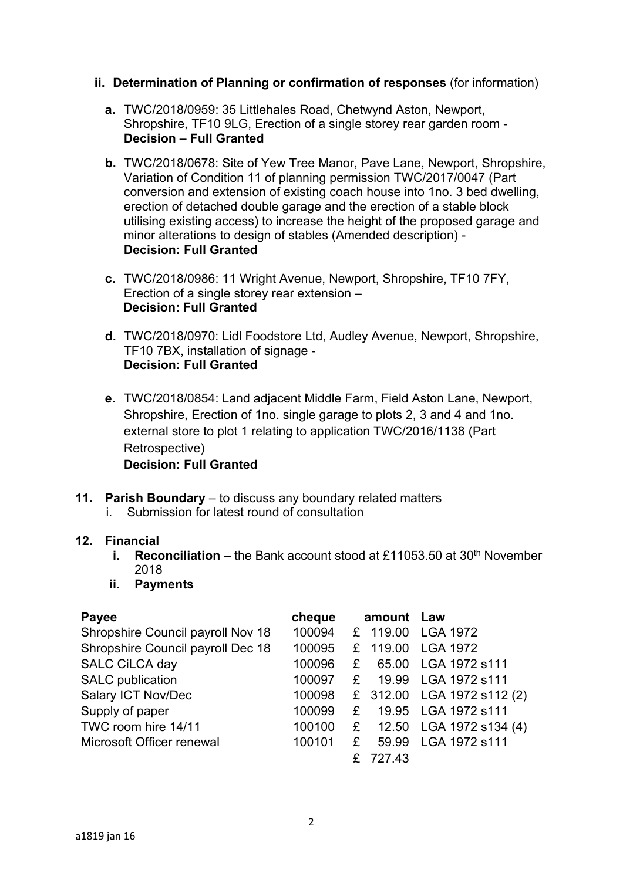- **ii. Determination of Planning or confirmation of responses** (for information)
	- **a.** TWC/2018/0959: 35 Littlehales Road, Chetwynd Aston, Newport, Shropshire, TF10 9LG, Erection of a single storey rear garden room - **Decision – Full Granted**
	- **b.** TWC/2018/0678: Site of Yew Tree Manor, Pave Lane, Newport, Shropshire, Variation of Condition 11 of planning permission TWC/2017/0047 (Part conversion and extension of existing coach house into 1no. 3 bed dwelling, erection of detached double garage and the erection of a stable block utilising existing access) to increase the height of the proposed garage and minor alterations to design of stables (Amended description) - **Decision: Full Granted**
	- **c.** TWC/2018/0986: 11 Wright Avenue, Newport, Shropshire, TF10 7FY, Erection of a single storey rear extension – **Decision: Full Granted**
	- **d.** TWC/2018/0970: Lidl Foodstore Ltd, Audley Avenue, Newport, Shropshire, TF10 7BX, installation of signage - **Decision: Full Granted**
	- **e.** TWC/2018/0854: Land adjacent Middle Farm, Field Aston Lane, Newport, Shropshire, Erection of 1no. single garage to plots 2, 3 and 4 and 1no. external store to plot 1 relating to application TWC/2016/1138 (Part Retrospective)

**Decision: Full Granted** 

- **11. Parish Boundary** to discuss any boundary related matters
	- i. Submission for latest round of consultation

### **12. Financial**

- **i.** Reconciliation the Bank account stood at £11053.50 at 30<sup>th</sup> November 2018
- **ii. Payments**

| <b>Payee</b>                      | cheque |   | amount Law |                            |
|-----------------------------------|--------|---|------------|----------------------------|
| Shropshire Council payroll Nov 18 | 100094 |   | £ 119.00   | <b>LGA 1972</b>            |
| Shropshire Council payroll Dec 18 | 100095 |   | £ 119.00   | <b>LGA 1972</b>            |
| SALC CiLCA day                    | 100096 | £ | 65.00      | LGA 1972 s111              |
| <b>SALC</b> publication           | 100097 | £ |            | 19.99 LGA 1972 s111        |
| Salary ICT Nov/Dec                | 100098 |   |            | £ 312.00 LGA 1972 s112 (2) |
| Supply of paper                   | 100099 | £ |            | 19.95 LGA 1972 s111        |
| TWC room hire 14/11               | 100100 | £ |            | 12.50 LGA 1972 s134 (4)    |
| Microsoft Officer renewal         | 100101 | £ | 59.99      | LGA 1972 s111              |
|                                   |        |   | 727.43     |                            |